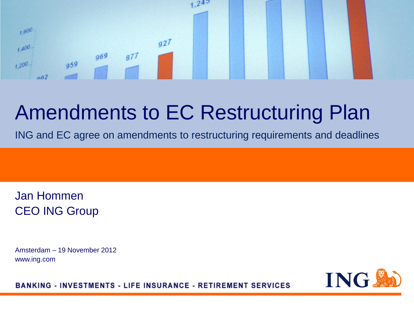

# Amendments to EC Restructuring Plan

ING and EC agree on amendments to restructuring requirements and deadlines

Jan Hommen CEO ING Group

Amsterdam – 19 November 2012 www.ing.com



**BANKING - INVESTMENTS - LIFE INSURANCE - RETIREMENT SERVICES**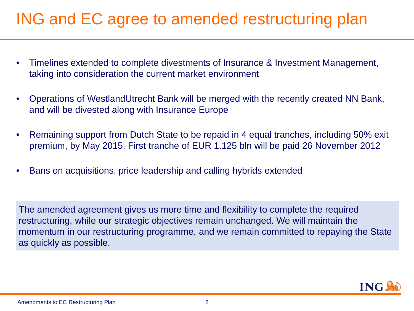## ING and EC agree to amended restructuring plan

- Timelines extended to complete divestments of Insurance & Investment Management, taking into consideration the current market environment
- Operations of WestlandUtrecht Bank will be merged with the recently created NN Bank, and will be divested along with Insurance Europe
- Remaining support from Dutch State to be repaid in 4 equal tranches, including 50% exit premium, by May 2015. First tranche of EUR 1.125 bln will be paid 26 November 2012
- Bans on acquisitions, price leadership and calling hybrids extended

The amended agreement gives us more time and flexibility to complete the required restructuring, while our strategic objectives remain unchanged. We will maintain the momentum in our restructuring programme, and we remain committed to repaying the State as quickly as possible.

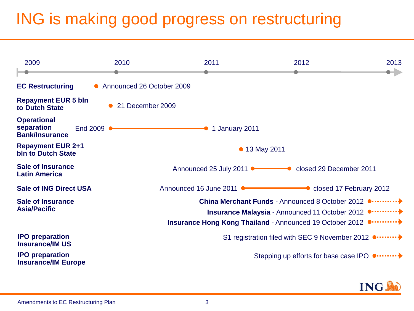## ING is making good progress on restructuring



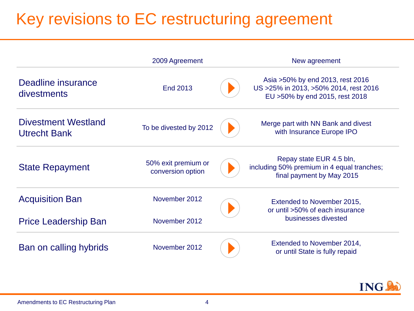## Key revisions to EC restructuring agreement

|                                                   | 2009 Agreement                           |  | New agreement                                                                                                   |  |
|---------------------------------------------------|------------------------------------------|--|-----------------------------------------------------------------------------------------------------------------|--|
| Deadline insurance<br>divestments                 | <b>End 2013</b>                          |  | Asia > 50% by end 2013, rest 2016<br>US > 25% in 2013, > 50% 2014, rest 2016<br>EU > 50% by end 2015, rest 2018 |  |
| <b>Divestment Westland</b><br><b>Utrecht Bank</b> | To be divested by 2012                   |  | Merge part with NN Bank and divest<br>with Insurance Europe IPO                                                 |  |
| <b>State Repayment</b>                            | 50% exit premium or<br>conversion option |  | Repay state EUR 4.5 bln,<br>including 50% premium in 4 equal tranches;<br>final payment by May 2015             |  |
| <b>Acquisition Ban</b>                            | November 2012                            |  | Extended to November 2015,<br>or until >50% of each insurance                                                   |  |
| <b>Price Leadership Ban</b>                       | November 2012                            |  | businesses divested                                                                                             |  |
| Ban on calling hybrids                            | November 2012                            |  | Extended to November 2014,<br>or until State is fully repaid                                                    |  |

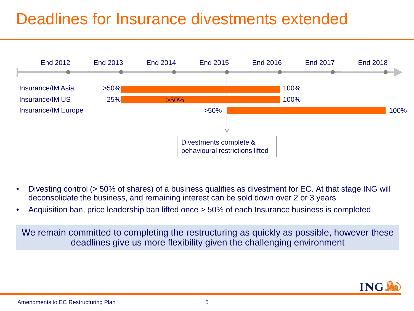## Deadlines for Insurance divestments extended



- Divesting control (> 50% of shares) of a business qualifies as divestment for EC. At that stage ING will deconsolidate the business, and remaining interest can be sold down over 2 or 3 years
- Acquisition ban, price leadership ban lifted once > 50% of each Insurance business is completed

We remain committed to completing the restructuring as quickly as possible, however these deadlines give us more flexibility given the challenging environment

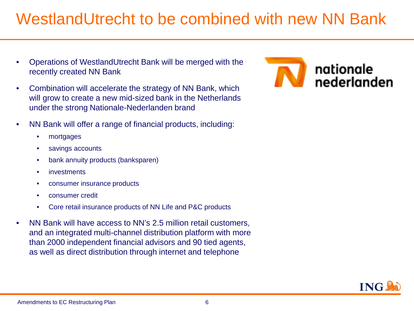## WestlandUtrecht to be combined with new NN Bank

- Operations of WestlandUtrecht Bank will be merged with the recently created NN Bank
- Combination will accelerate the strategy of NN Bank, which will grow to create a new mid-sized bank in the Netherlands under the strong Nationale-Nederlanden brand
- NN Bank will offer a range of financial products, including:
	- mortgages
	- savings accounts
	- bank annuity products (banksparen)
	- **investments**
	- consumer insurance products
	- consumer credit
	- Core retail insurance products of NN Life and P&C products
- NN Bank will have access to NN's 2.5 million retail customers, and an integrated multi-channel distribution platform with more than 2000 independent financial advisors and 90 tied agents, as well as direct distribution through internet and telephone



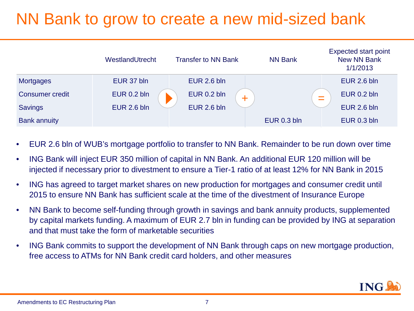## NN Bank to grow to create a new mid-sized bank

|                        | WestlandUtrecht    | <b>Transfer to NN Bank</b> | <b>NN Bank</b> | <b>Expected start point</b><br><b>New NN Bank</b><br>1/1/2013 |
|------------------------|--------------------|----------------------------|----------------|---------------------------------------------------------------|
| <b>Mortgages</b>       | EUR 37 bln         | EUR 2.6 bln                |                | <b>EUR 2.6 bln</b>                                            |
| <b>Consumer credit</b> | <b>EUR 0.2 bln</b> | <b>EUR 0.2 bln</b>         |                | <b>EUR 0.2 bln</b>                                            |
| <b>Savings</b>         | <b>EUR 2.6 bln</b> | EUR 2.6 bln                |                | EUR 2.6 bln                                                   |
| <b>Bank annuity</b>    |                    |                            | EUR 0.3 bln    | EUR 0.3 bln                                                   |

- EUR 2.6 bln of WUB's mortgage portfolio to transfer to NN Bank. Remainder to be run down over time
- ING Bank will inject EUR 350 million of capital in NN Bank. An additional EUR 120 million will be injected if necessary prior to divestment to ensure a Tier-1 ratio of at least 12% for NN Bank in 2015
- ING has agreed to target market shares on new production for mortgages and consumer credit until 2015 to ensure NN Bank has sufficient scale at the time of the divestment of Insurance Europe
- NN Bank to become self-funding through growth in savings and bank annuity products, supplemented by capital markets funding. A maximum of EUR 2.7 bln in funding can be provided by ING at separation and that must take the form of marketable securities
- ING Bank commits to support the development of NN Bank through caps on new mortgage production, free access to ATMs for NN Bank credit card holders, and other measures

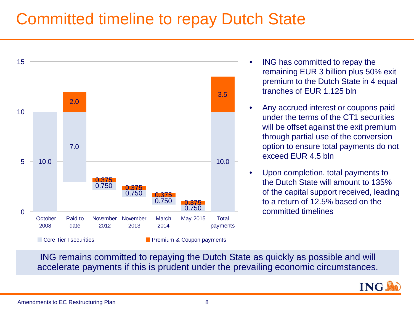#### Committed timeline to repay Dutch State



- ING has committed to repay the remaining EUR 3 billion plus 50% exit premium to the Dutch State in 4 equal tranches of EUR 1.125 bln
- Any accrued interest or coupons paid under the terms of the CT1 securities will be offset against the exit premium through partial use of the conversion option to ensure total payments do not exceed EUR 4.5 bln
- Upon completion, total payments to the Dutch State will amount to 135% of the capital support received, leading to a return of 12.5% based on the committed timelines

ING remains committed to repaying the Dutch State as quickly as possible and will accelerate payments if this is prudent under the prevailing economic circumstances.

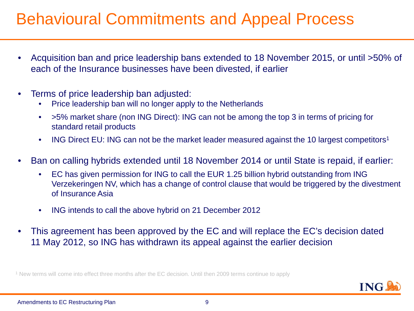#### Behavioural Commitments and Appeal Process

- Acquisition ban and price leadership bans extended to 18 November 2015, or until >50% of each of the Insurance businesses have been divested, if earlier
- Terms of price leadership ban adjusted:
	- Price leadership ban will no longer apply to the Netherlands
	- >5% market share (non ING Direct): ING can not be among the top 3 in terms of pricing for standard retail products
	- ING Direct EU: ING can not be the market leader measured against the 10 largest competitors<sup>1</sup>
- Ban on calling hybrids extended until 18 November 2014 or until State is repaid, if earlier:
	- EC has given permission for ING to call the EUR 1.25 billion hybrid outstanding from ING Verzekeringen NV, which has a change of control clause that would be triggered by the divestment of Insurance Asia
	- ING intends to call the above hybrid on 21 December 2012
- This agreement has been approved by the EC and will replace the EC's decision dated 11 May 2012, so ING has withdrawn its appeal against the earlier decision

<sup>1</sup> New terms will come into effect three months after the EC decision. Until then 2009 terms continue to apply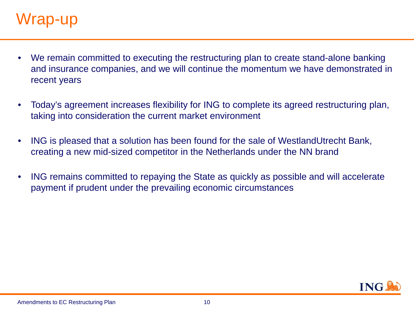#### Wrap-up

- We remain committed to executing the restructuring plan to create stand-alone banking and insurance companies, and we will continue the momentum we have demonstrated in recent years
- Today's agreement increases flexibility for ING to complete its agreed restructuring plan, taking into consideration the current market environment
- ING is pleased that a solution has been found for the sale of WestlandUtrecht Bank, creating a new mid-sized competitor in the Netherlands under the NN brand
- ING remains committed to repaying the State as quickly as possible and will accelerate payment if prudent under the prevailing economic circumstances